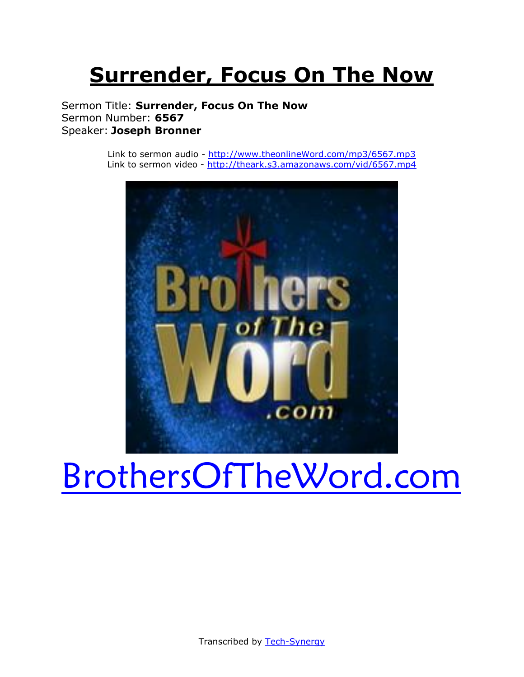# **Surrender, Focus On The Now**

Sermon Title: **Surrender, Focus On The Now** Sermon Number: **6567** Speaker: **Joseph Bronner**

> Link to sermon audio - [http://www.theonlineWord.com/mp3/6567.mp3](http://www.theonlineword.com/mp3/6567.mp3) Link to sermon video - <http://theark.s3.amazonaws.com/vid/6567.mp4>



# [BrothersOfTheWord.com](http://www.brothersoftheword.com/)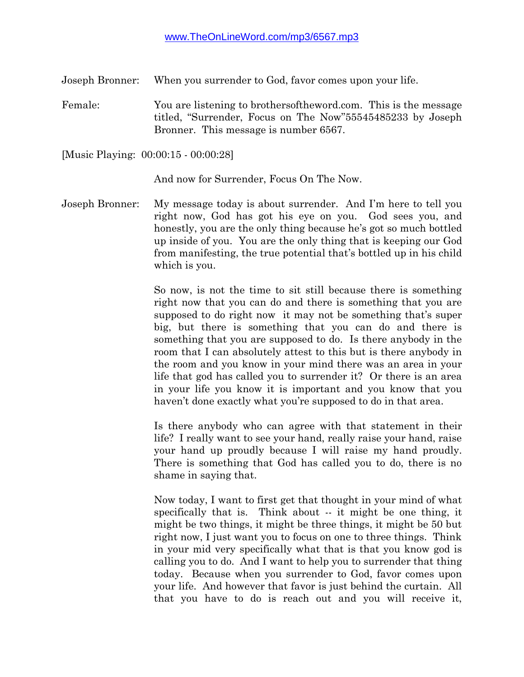Joseph Bronner: When you surrender to God, favor comes upon your life.

Female: You are listening to brothersoftheword.com. This is the message titled, "Surrender, Focus on The Now"55545485233 by Joseph Bronner. This message is number 6567.

[Music Playing: 00:00:15 - 00:00:28]

And now for Surrender, Focus On The Now.

Joseph Bronner: My message today is about surrender. And I'm here to tell you right now, God has got his eye on you. God sees you, and honestly, you are the only thing because he's got so much bottled up inside of you. You are the only thing that is keeping our God from manifesting, the true potential that's bottled up in his child which is you.

> So now, is not the time to sit still because there is something right now that you can do and there is something that you are supposed to do right now it may not be something that's super big, but there is something that you can do and there is something that you are supposed to do. Is there anybody in the room that I can absolutely attest to this but is there anybody in the room and you know in your mind there was an area in your life that god has called you to surrender it? Or there is an area in your life you know it is important and you know that you haven't done exactly what you're supposed to do in that area.

> Is there anybody who can agree with that statement in their life? I really want to see your hand, really raise your hand, raise your hand up proudly because I will raise my hand proudly. There is something that God has called you to do, there is no shame in saying that.

> Now today, I want to first get that thought in your mind of what specifically that is. Think about -- it might be one thing, it might be two things, it might be three things, it might be 50 but right now, I just want you to focus on one to three things. Think in your mid very specifically what that is that you know god is calling you to do. And I want to help you to surrender that thing today. Because when you surrender to God, favor comes upon your life. And however that favor is just behind the curtain. All that you have to do is reach out and you will receive it,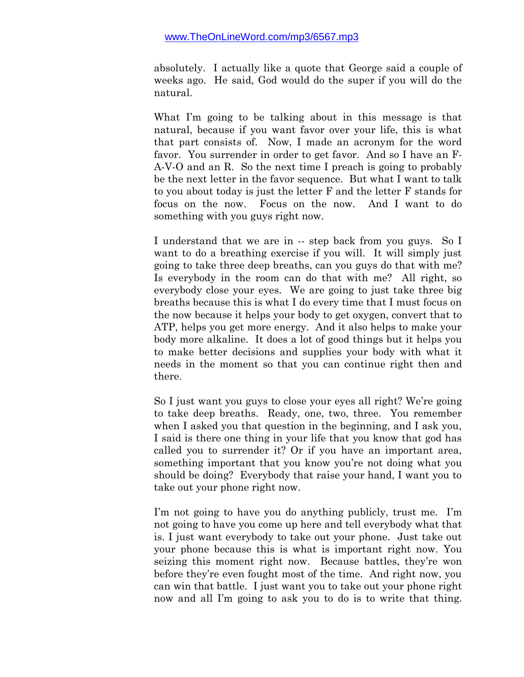absolutely. I actually like a quote that George said a couple of weeks ago. He said, God would do the super if you will do the natural.

What I'm going to be talking about in this message is that natural, because if you want favor over your life, this is what that part consists of. Now, I made an acronym for the word favor. You surrender in order to get favor. And so I have an F-A-V-O and an R. So the next time I preach is going to probably be the next letter in the favor sequence. But what I want to talk to you about today is just the letter F and the letter F stands for focus on the now. Focus on the now. And I want to do something with you guys right now.

I understand that we are in -- step back from you guys. So I want to do a breathing exercise if you will. It will simply just going to take three deep breaths, can you guys do that with me? Is everybody in the room can do that with me? All right, so everybody close your eyes. We are going to just take three big breaths because this is what I do every time that I must focus on the now because it helps your body to get oxygen, convert that to ATP, helps you get more energy. And it also helps to make your body more alkaline. It does a lot of good things but it helps you to make better decisions and supplies your body with what it needs in the moment so that you can continue right then and there.

So I just want you guys to close your eyes all right? We're going to take deep breaths. Ready, one, two, three. You remember when I asked you that question in the beginning, and I ask you, I said is there one thing in your life that you know that god has called you to surrender it? Or if you have an important area, something important that you know you're not doing what you should be doing? Everybody that raise your hand, I want you to take out your phone right now.

I'm not going to have you do anything publicly, trust me. I'm not going to have you come up here and tell everybody what that is. I just want everybody to take out your phone. Just take out your phone because this is what is important right now. You seizing this moment right now. Because battles, they're won before they're even fought most of the time. And right now, you can win that battle. I just want you to take out your phone right now and all I'm going to ask you to do is to write that thing.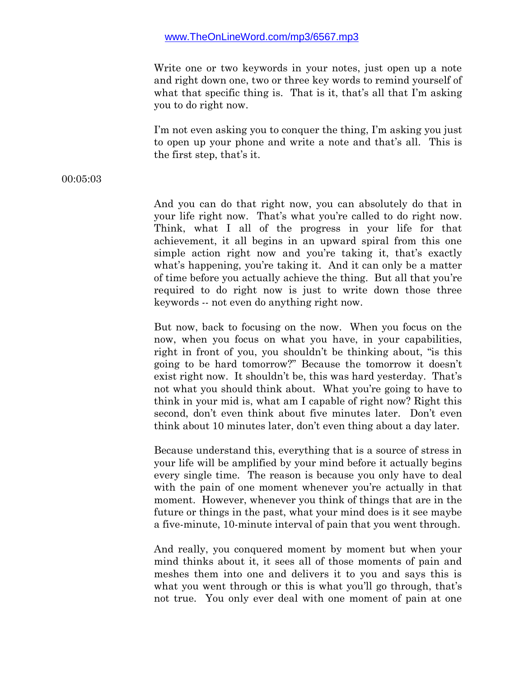Write one or two keywords in your notes, just open up a note and right down one, two or three key words to remind yourself of what that specific thing is. That is it, that's all that I'm asking you to do right now.

I'm not even asking you to conquer the thing, I'm asking you just to open up your phone and write a note and that's all. This is the first step, that's it.

#### 00:05:03

And you can do that right now, you can absolutely do that in your life right now. That's what you're called to do right now. Think, what I all of the progress in your life for that achievement, it all begins in an upward spiral from this one simple action right now and you're taking it, that's exactly what's happening, you're taking it. And it can only be a matter of time before you actually achieve the thing. But all that you're required to do right now is just to write down those three keywords -- not even do anything right now.

But now, back to focusing on the now. When you focus on the now, when you focus on what you have, in your capabilities, right in front of you, you shouldn't be thinking about, "is this going to be hard tomorrow?" Because the tomorrow it doesn't exist right now. It shouldn't be, this was hard yesterday. That's not what you should think about. What you're going to have to think in your mid is, what am I capable of right now? Right this second, don't even think about five minutes later. Don't even think about 10 minutes later, don't even thing about a day later.

Because understand this, everything that is a source of stress in your life will be amplified by your mind before it actually begins every single time. The reason is because you only have to deal with the pain of one moment whenever you're actually in that moment. However, whenever you think of things that are in the future or things in the past, what your mind does is it see maybe a five-minute, 10-minute interval of pain that you went through.

And really, you conquered moment by moment but when your mind thinks about it, it sees all of those moments of pain and meshes them into one and delivers it to you and says this is what you went through or this is what you'll go through, that's not true. You only ever deal with one moment of pain at one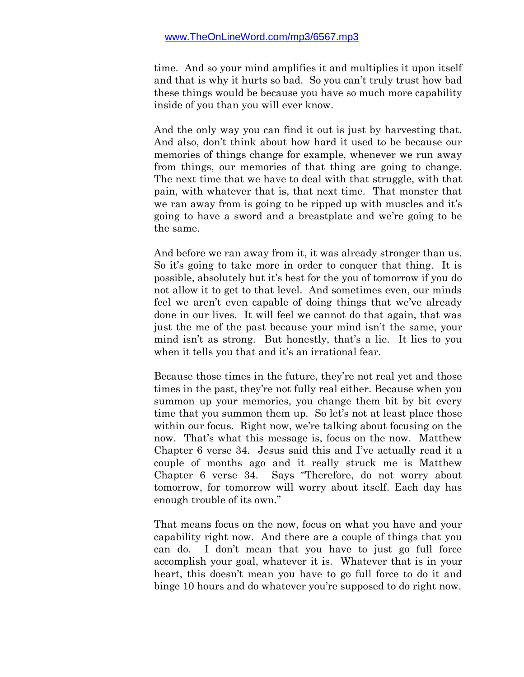time. And so your mind amplifies it and multiplies it upon itself and that is why it hurts so bad. So you can't truly trust how bad these things would be because you have so much more capability inside of you than you will ever know.

And the only way you can find it out is just by harvesting that. And also, don't think about how hard it used to be because our memories of things change for example, whenever we run away from things, our memories of that thing are going to change. The next time that we have to deal with that struggle, with that pain, with whatever that is, that next time. That monster that we ran away from is going to be ripped up with muscles and it's going to have a sword and a breastplate and we're going to be the same.

And before we ran away from it, it was already stronger than us. So it's going to take more in order to conquer that thing. It is possible, absolutely but it's best for the you of tomorrow if you do not allow it to get to that level. And sometimes even, our minds feel we aren't even capable of doing things that we've already done in our lives. It will feel we cannot do that again, that was just the me of the past because your mind isn't the same, your mind isn't as strong. But honestly, that's a lie. It lies to you when it tells you that and it's an irrational fear.

Because those times in the future, they're not real yet and those times in the past, they're not fully real either. Because when you summon up your memories, you change them bit by bit every time that you summon them up. So let's not at least place those within our focus. Right now, we're talking about focusing on the now. That's what this message is, focus on the now. Matthew Chapter 6 verse 34. Jesus said this and I've actually read it a couple of months ago and it really struck me is Matthew Chapter 6 verse 34. Says "Therefore, do not worry about tomorrow, for tomorrow will worry about itself. Each day has enough trouble of its own."

That means focus on the now, focus on what you have and your capability right now. And there are a couple of things that you can do. I don't mean that you have to just go full force accomplish your goal, whatever it is. Whatever that is in your heart, this doesn't mean you have to go full force to do it and binge 10 hours and do whatever you're supposed to do right now.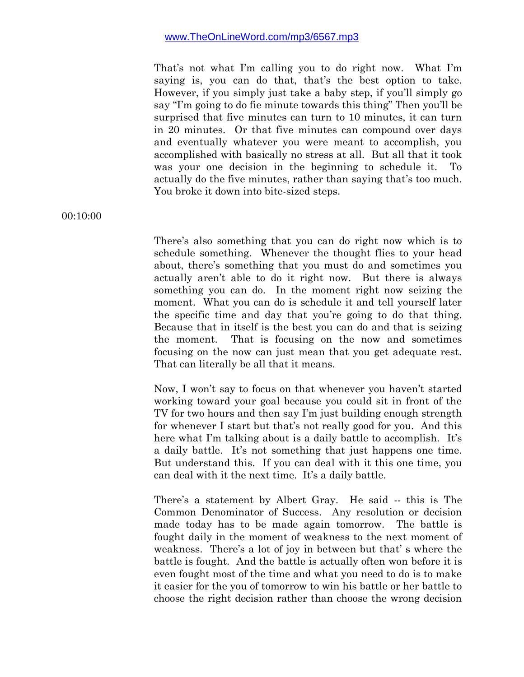That's not what I'm calling you to do right now. What I'm saying is, you can do that, that's the best option to take. However, if you simply just take a baby step, if you'll simply go say "I'm going to do fie minute towards this thing" Then you'll be surprised that five minutes can turn to 10 minutes, it can turn in 20 minutes. Or that five minutes can compound over days and eventually whatever you were meant to accomplish, you accomplished with basically no stress at all. But all that it took was your one decision in the beginning to schedule it. To actually do the five minutes, rather than saying that's too much. You broke it down into bite-sized steps.

00:10:00

There's also something that you can do right now which is to schedule something. Whenever the thought flies to your head about, there's something that you must do and sometimes you actually aren't able to do it right now. But there is always something you can do. In the moment right now seizing the moment. What you can do is schedule it and tell yourself later the specific time and day that you're going to do that thing. Because that in itself is the best you can do and that is seizing the moment. That is focusing on the now and sometimes focusing on the now can just mean that you get adequate rest. That can literally be all that it means.

Now, I won't say to focus on that whenever you haven't started working toward your goal because you could sit in front of the TV for two hours and then say I'm just building enough strength for whenever I start but that's not really good for you. And this here what I'm talking about is a daily battle to accomplish. It's a daily battle. It's not something that just happens one time. But understand this. If you can deal with it this one time, you can deal with it the next time. It's a daily battle.

There's a statement by Albert Gray. He said -- this is The Common Denominator of Success. Any resolution or decision made today has to be made again tomorrow. The battle is fought daily in the moment of weakness to the next moment of weakness. There's a lot of joy in between but that' s where the battle is fought. And the battle is actually often won before it is even fought most of the time and what you need to do is to make it easier for the you of tomorrow to win his battle or her battle to choose the right decision rather than choose the wrong decision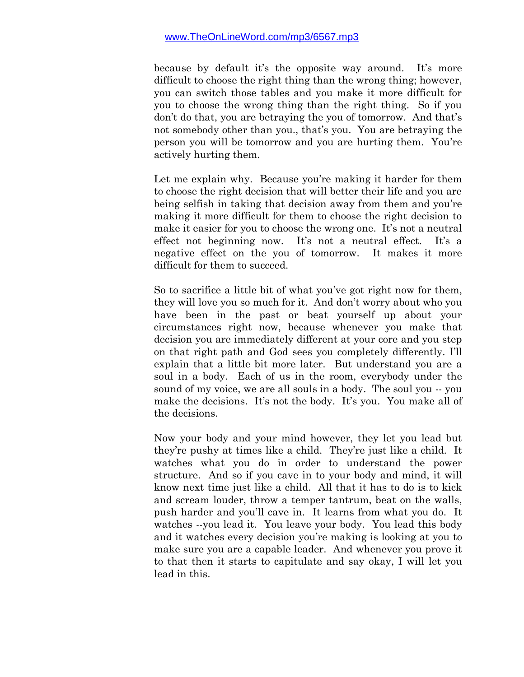because by default it's the opposite way around. It's more difficult to choose the right thing than the wrong thing; however, you can switch those tables and you make it more difficult for you to choose the wrong thing than the right thing. So if you don't do that, you are betraying the you of tomorrow. And that's not somebody other than you., that's you. You are betraying the person you will be tomorrow and you are hurting them. You're actively hurting them.

Let me explain why. Because you're making it harder for them to choose the right decision that will better their life and you are being selfish in taking that decision away from them and you're making it more difficult for them to choose the right decision to make it easier for you to choose the wrong one. It's not a neutral effect not beginning now. It's not a neutral effect. It's a negative effect on the you of tomorrow. It makes it more difficult for them to succeed.

So to sacrifice a little bit of what you've got right now for them, they will love you so much for it. And don't worry about who you have been in the past or beat yourself up about your circumstances right now, because whenever you make that decision you are immediately different at your core and you step on that right path and God sees you completely differently. I'll explain that a little bit more later. But understand you are a soul in a body. Each of us in the room, everybody under the sound of my voice, we are all souls in a body. The soul you -- you make the decisions. It's not the body. It's you. You make all of the decisions.

Now your body and your mind however, they let you lead but they're pushy at times like a child. They're just like a child. It watches what you do in order to understand the power structure. And so if you cave in to your body and mind, it will know next time just like a child. All that it has to do is to kick and scream louder, throw a temper tantrum, beat on the walls, push harder and you'll cave in. It learns from what you do. It watches --you lead it. You leave your body. You lead this body and it watches every decision you're making is looking at you to make sure you are a capable leader. And whenever you prove it to that then it starts to capitulate and say okay, I will let you lead in this.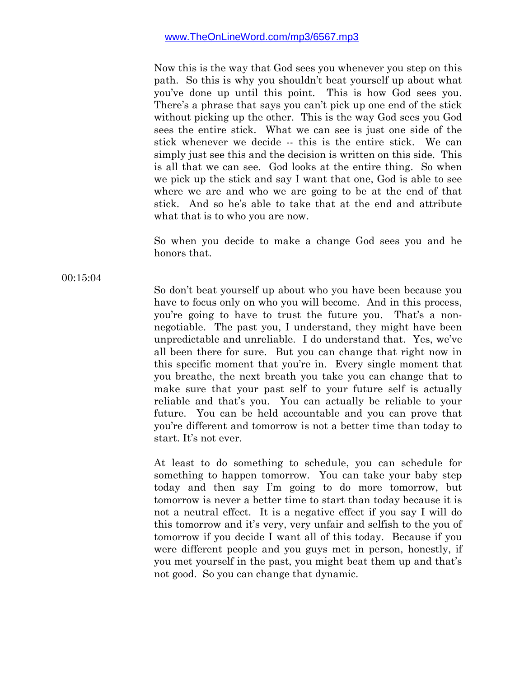Now this is the way that God sees you whenever you step on this path. So this is why you shouldn't beat yourself up about what you've done up until this point. This is how God sees you. There's a phrase that says you can't pick up one end of the stick without picking up the other. This is the way God sees you God sees the entire stick. What we can see is just one side of the stick whenever we decide -- this is the entire stick. We can simply just see this and the decision is written on this side. This is all that we can see. God looks at the entire thing. So when we pick up the stick and say I want that one, God is able to see where we are and who we are going to be at the end of that stick. And so he's able to take that at the end and attribute what that is to who you are now.

So when you decide to make a change God sees you and he honors that.

00:15:04

So don't beat yourself up about who you have been because you have to focus only on who you will become. And in this process, you're going to have to trust the future you. That's a nonnegotiable. The past you, I understand, they might have been unpredictable and unreliable. I do understand that. Yes, we've all been there for sure. But you can change that right now in this specific moment that you're in. Every single moment that you breathe, the next breath you take you can change that to make sure that your past self to your future self is actually reliable and that's you. You can actually be reliable to your future. You can be held accountable and you can prove that you're different and tomorrow is not a better time than today to start. It's not ever.

At least to do something to schedule, you can schedule for something to happen tomorrow. You can take your baby step today and then say I'm going to do more tomorrow, but tomorrow is never a better time to start than today because it is not a neutral effect. It is a negative effect if you say I will do this tomorrow and it's very, very unfair and selfish to the you of tomorrow if you decide I want all of this today. Because if you were different people and you guys met in person, honestly, if you met yourself in the past, you might beat them up and that's not good. So you can change that dynamic.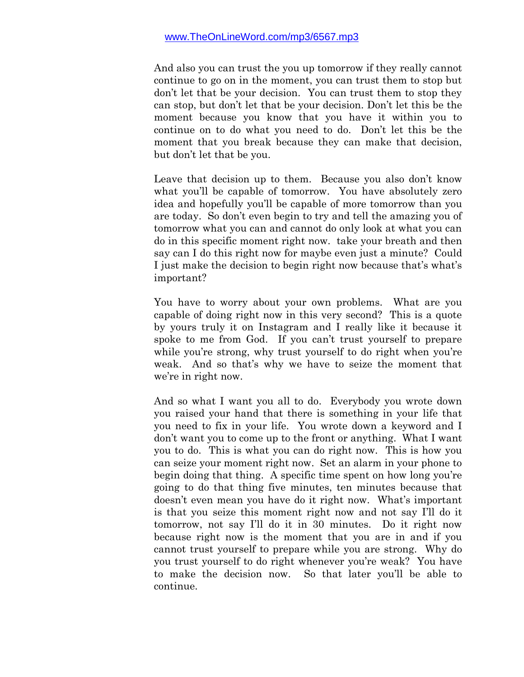And also you can trust the you up tomorrow if they really cannot continue to go on in the moment, you can trust them to stop but don't let that be your decision. You can trust them to stop they can stop, but don't let that be your decision. Don't let this be the moment because you know that you have it within you to continue on to do what you need to do. Don't let this be the moment that you break because they can make that decision, but don't let that be you.

Leave that decision up to them. Because you also don't know what you'll be capable of tomorrow. You have absolutely zero idea and hopefully you'll be capable of more tomorrow than you are today. So don't even begin to try and tell the amazing you of tomorrow what you can and cannot do only look at what you can do in this specific moment right now. take your breath and then say can I do this right now for maybe even just a minute? Could I just make the decision to begin right now because that's what's important?

You have to worry about your own problems. What are you capable of doing right now in this very second? This is a quote by yours truly it on Instagram and I really like it because it spoke to me from God. If you can't trust yourself to prepare while you're strong, why trust yourself to do right when you're weak. And so that's why we have to seize the moment that we're in right now.

And so what I want you all to do. Everybody you wrote down you raised your hand that there is something in your life that you need to fix in your life. You wrote down a keyword and I don't want you to come up to the front or anything. What I want you to do. This is what you can do right now. This is how you can seize your moment right now. Set an alarm in your phone to begin doing that thing. A specific time spent on how long you're going to do that thing five minutes, ten minutes because that doesn't even mean you have do it right now. What's important is that you seize this moment right now and not say I'll do it tomorrow, not say I'll do it in 30 minutes. Do it right now because right now is the moment that you are in and if you cannot trust yourself to prepare while you are strong. Why do you trust yourself to do right whenever you're weak? You have to make the decision now. So that later you'll be able to continue.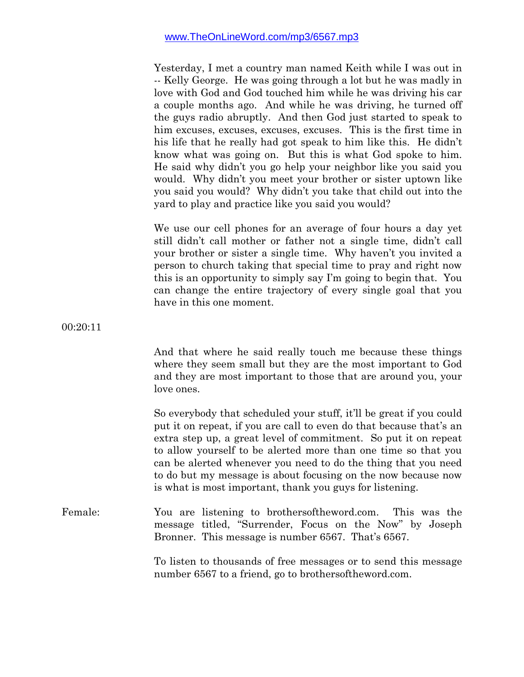Yesterday, I met a country man named Keith while I was out in -- Kelly George. He was going through a lot but he was madly in love with God and God touched him while he was driving his car a couple months ago. And while he was driving, he turned off the guys radio abruptly. And then God just started to speak to him excuses, excuses, excuses, excuses. This is the first time in his life that he really had got speak to him like this. He didn't know what was going on. But this is what God spoke to him. He said why didn't you go help your neighbor like you said you would. Why didn't you meet your brother or sister uptown like you said you would? Why didn't you take that child out into the yard to play and practice like you said you would?

We use our cell phones for an average of four hours a day yet still didn't call mother or father not a single time, didn't call your brother or sister a single time. Why haven't you invited a person to church taking that special time to pray and right now this is an opportunity to simply say I'm going to begin that. You can change the entire trajectory of every single goal that you have in this one moment.

00:20:11

And that where he said really touch me because these things where they seem small but they are the most important to God and they are most important to those that are around you, your love ones.

So everybody that scheduled your stuff, it'll be great if you could put it on repeat, if you are call to even do that because that's an extra step up, a great level of commitment. So put it on repeat to allow yourself to be alerted more than one time so that you can be alerted whenever you need to do the thing that you need to do but my message is about focusing on the now because now is what is most important, thank you guys for listening.

# Female: You are listening to brothersoftheword.com. This was the message titled, "Surrender, Focus on the Now" by Joseph Bronner. This message is number 6567. That's 6567.

To listen to thousands of free messages or to send this message number 6567 to a friend, go to brothersoftheword.com.